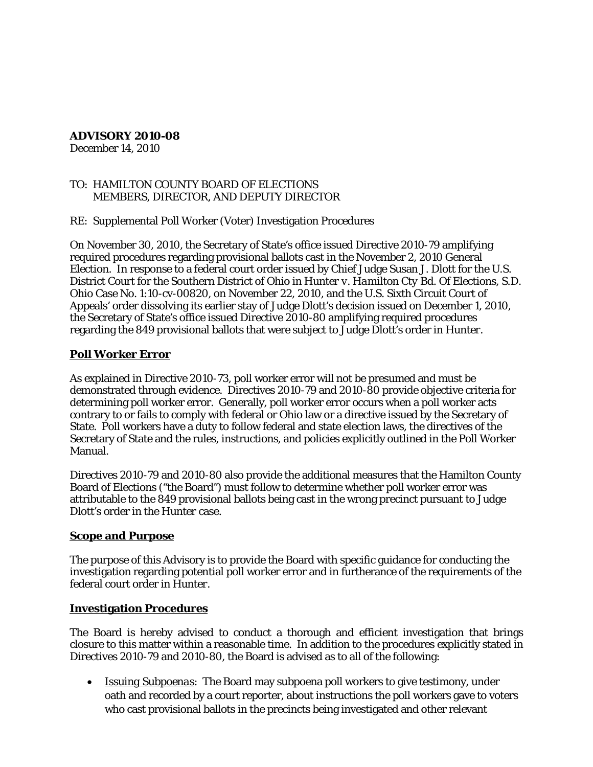# **ADVISORY 2010-08**

December 14, 2010

### TO: HAMILTON COUNTY BOARD OF ELECTIONS MEMBERS, DIRECTOR, AND DEPUTY DIRECTOR

### RE: Supplemental Poll Worker (Voter) Investigation Procedures

On November 30, 2010, the Secretary of State's office issued Directive 2010-79 amplifying required procedures regarding provisional ballots cast in the November 2, 2010 General Election. In response to a federal court order issued by Chief Judge Susan J. Dlott for the U.S. District Court for the Southern District of Ohio in *Hunter v. Hamilton Cty Bd. Of Elections*, S.D. Ohio Case No. 1:10-cv-00820, on November 22, 2010, and the U.S. Sixth Circuit Court of Appeals' order dissolving its earlier stay of Judge Dlott's decision issued on December 1, 2010, the Secretary of State's office issued Directive 2010-80 amplifying required procedures regarding the 849 provisional ballots that were subject to Judge Dlott's order in *Hunter*.

## **Poll Worker Error**

As explained in Directive 2010-73, poll worker error will not be presumed and must be demonstrated through evidence. Directives 2010-79 and 2010-80 provide objective criteria for determining poll worker error. Generally, poll worker error occurs when a poll worker acts contrary to or fails to comply with federal or Ohio law or a directive issued by the Secretary of State. Poll workers have a duty to follow federal and state election laws, the directives of the Secretary of State and the rules, instructions, and policies explicitly outlined in the Poll Worker Manual.

Directives 2010-79 and 2010-80 also provide the additional measures that the Hamilton County Board of Elections ("the Board") must follow to determine whether poll worker error was attributable to the 849 provisional ballots being cast in the wrong precinct pursuant to Judge Dlott's order in the *Hunter* case.

### **Scope and Purpose**

The purpose of this Advisory is to provide the Board with specific guidance for conducting the investigation regarding potential poll worker error and in furtherance of the requirements of the federal court order in *Hunter*.

### **Investigation Procedures**

The Board is hereby advised to conduct a thorough and efficient investigation that brings closure to this matter within a reasonable time. In addition to the procedures explicitly stated in Directives 2010-79 and 2010-80, the Board is advised as to all of the following:

• *Issuing Subpoenas*: The Board may subpoena poll workers to give testimony, under oath and recorded by a court reporter, about instructions the poll workers gave to voters who cast provisional ballots in the precincts being investigated and other relevant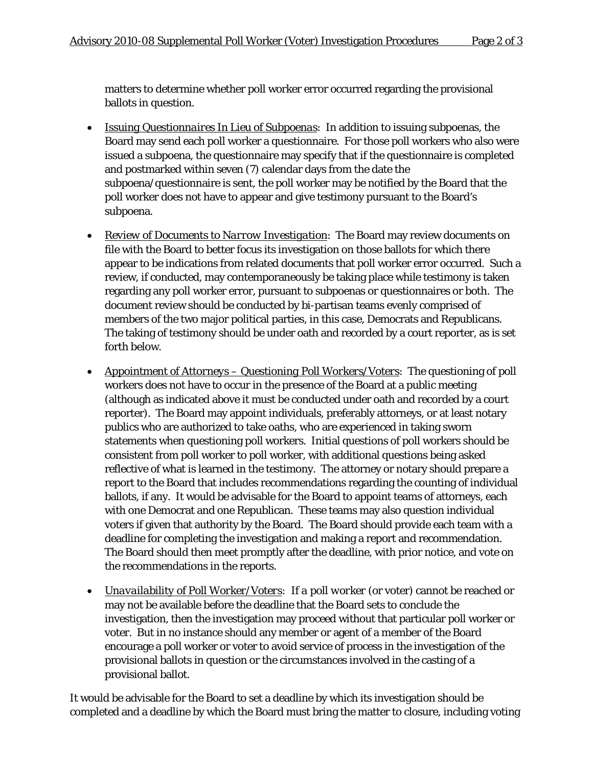matters to determine whether poll worker error occurred regarding the provisional ballots in question.

- *Issuing Questionnaires In Lieu of Subpoenas*: In addition to issuing subpoenas, the Board may send each poll worker a questionnaire. For those poll workers who also were issued a subpoena, the questionnaire may specify that if the questionnaire is completed and postmarked within seven (7) calendar days from the date the subpoena/questionnaire is sent, the poll worker may be notified by the Board that the poll worker does not have to appear and give testimony pursuant to the Board's subpoena.
- *Review of Documents to Narrow Investigation*: The Board may review documents on file with the Board to better focus its investigation on those ballots for which there appear to be indications from related documents that poll worker error occurred. Such a review, if conducted, may contemporaneously be taking place while testimony is taken regarding any poll worker error, pursuant to subpoenas or questionnaires or both. The document review should be conducted by bi-partisan teams evenly comprised of members of the two major political parties, in this case, Democrats and Republicans. The taking of testimony should be under oath and recorded by a court reporter, as is set forth below.
- *Appointment of Attorneys – Questioning Poll Workers/Voters*: The questioning of poll workers does not have to occur in the presence of the Board at a public meeting (although as indicated above it must be conducted under oath and recorded by a court reporter). The Board may appoint individuals, preferably attorneys, or at least notary publics who are authorized to take oaths, who are experienced in taking sworn statements when questioning poll workers. Initial questions of poll workers should be consistent from poll worker to poll worker, with additional questions being asked reflective of what is learned in the testimony. The attorney or notary should prepare a report to the Board that includes recommendations regarding the counting of individual ballots, if any. It would be advisable for the Board to appoint teams of attorneys, each with one Democrat and one Republican. These teams may also question individual voters if given that authority by the Board. The Board should provide each team with a deadline for completing the investigation and making a report and recommendation. The Board should then meet promptly after the deadline, with prior notice, and vote on the recommendations in the reports.
- *Unavailability of Poll Worker/Voters: If a poll worker (o*r voter) cannot be reached or may not be available before the deadline that the Board sets to conclude the investigation, then the investigation may proceed without that particular poll worker or voter. But in no instance should any member or agent of a member of the Board encourage a poll worker or voter to avoid service of process in the investigation of the provisional ballots in question or the circumstances involved in the casting of a provisional ballot.

It would be advisable for the Board to set a deadline by which its investigation should be completed and a deadline by which the Board must bring the matter to closure, including voting